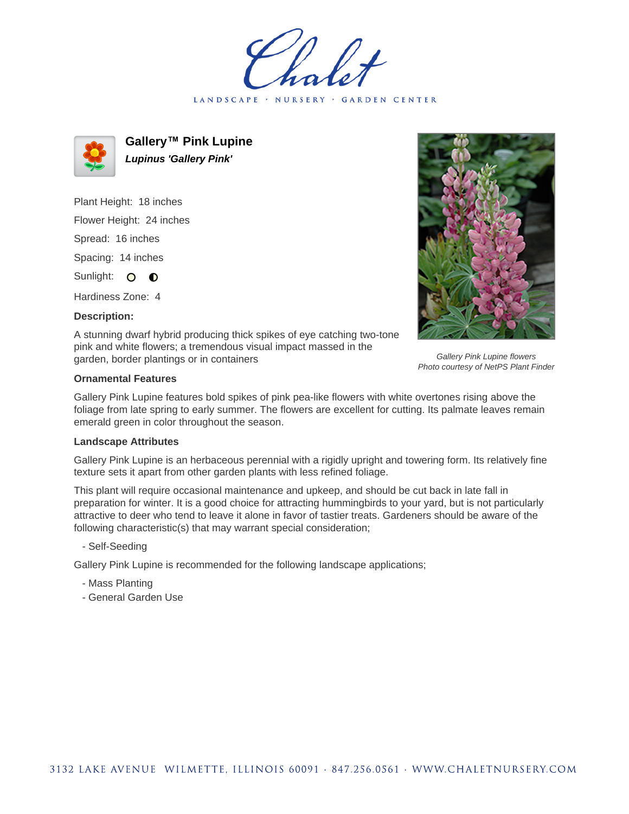LANDSCAPE · NURSERY · GARDEN CENTER



**Gallery™ Pink Lupine Lupinus 'Gallery Pink'**

Plant Height: 18 inches Flower Height: 24 inches Spread: 16 inches Spacing: 14 inches Sunlight: O **O** 

Hardiness Zone: 4

**Description:**



Gallery Pink Lupine flowers Photo courtesy of NetPS Plant Finder

A stunning dwarf hybrid producing thick spikes of eye catching two-tone pink and white flowers; a tremendous visual impact massed in the garden, border plantings or in containers

## **Ornamental Features**

Gallery Pink Lupine features bold spikes of pink pea-like flowers with white overtones rising above the foliage from late spring to early summer. The flowers are excellent for cutting. Its palmate leaves remain emerald green in color throughout the season.

## **Landscape Attributes**

Gallery Pink Lupine is an herbaceous perennial with a rigidly upright and towering form. Its relatively fine texture sets it apart from other garden plants with less refined foliage.

This plant will require occasional maintenance and upkeep, and should be cut back in late fall in preparation for winter. It is a good choice for attracting hummingbirds to your yard, but is not particularly attractive to deer who tend to leave it alone in favor of tastier treats. Gardeners should be aware of the following characteristic(s) that may warrant special consideration;

- Self-Seeding

Gallery Pink Lupine is recommended for the following landscape applications;

- Mass Planting
- General Garden Use